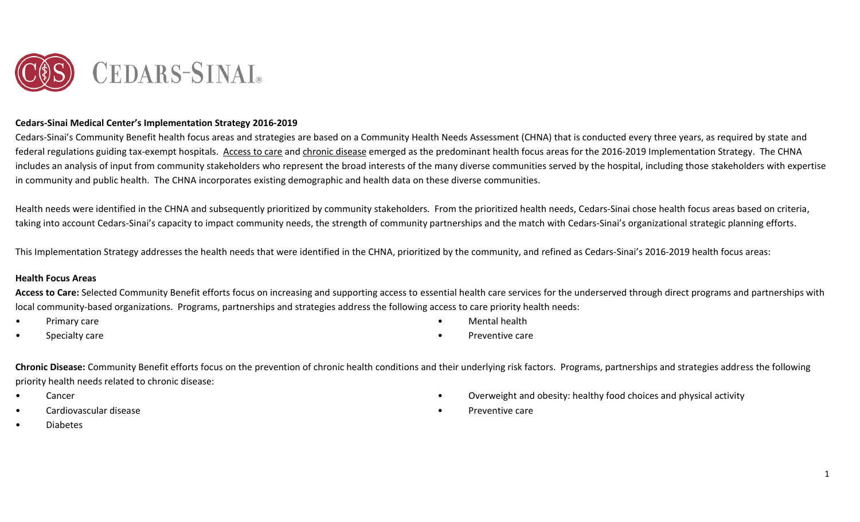

#### **Cedars-Sinai Medical Center's Implementation Strategy 2016-2019**

Cedars-Sinai's Community Benefit health focus areas and strategies are based on a Community Health Needs Assessment (CHNA) that is conducted every three years, as required by state and federal regulations guiding tax-exempt hospitals. Access to care and chronic disease emerged as the predominant health focus areas for the 2016-2019 Implementation Strategy. The CHNA includes an analysis of input from community stakeholders who represent the broad interests of the many diverse communities served by the hospital, including those stakeholders with expertise in community and public health. The CHNA incorporates existing demographic and health data on these diverse communities.

Health needs were identified in the CHNA and subsequently prioritized by community stakeholders. From the prioritized health needs, Cedars-Sinai chose health focus areas based on criteria, taking into account Cedars-Sinai's capacity to impact community needs, the strength of community partnerships and the match with Cedars-Sinai's organizational strategic planning efforts.

This Implementation Strategy addresses the health needs that were identified in the CHNA, prioritized by the community, and refined as Cedars-Sinai's 2016-2019 health focus areas:

#### **Health Focus Areas**

Access to Care: Selected Community Benefit efforts focus on increasing and supporting access to essential health care services for the underserved through direct programs and partnerships with local community-based organizations. Programs, partnerships and strategies address the following access to care priority health needs:

- Primary care
- Specialty care
- Mental health
- Preventive care

**Chronic Disease:** Community Benefit efforts focus on the prevention of chronic health conditions and their underlying risk factors. Programs, partnerships and strategies address the following priority health needs related to chronic disease:

- **Cancer**
- Cardiovascular disease
- Overweight and obesity: healthy food choices and physical activity
- Preventive care

• Diabetes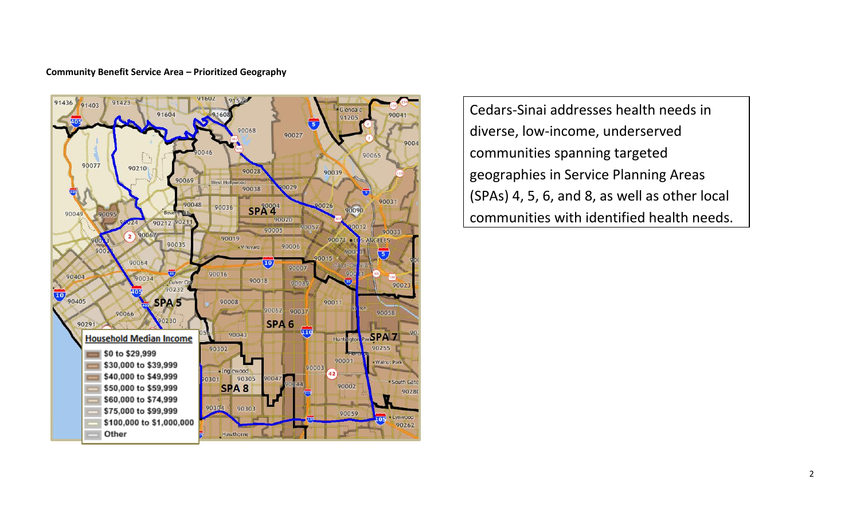#### **Community Benefit Service Area – Prioritized Geography**



Cedars-Sinai addresses health needs in diverse, low-income, underserved communities spanning targeted geographies in Service Planning Areas (SPAs) 4, 5, 6, and 8, as well as other local communities with identified health needs.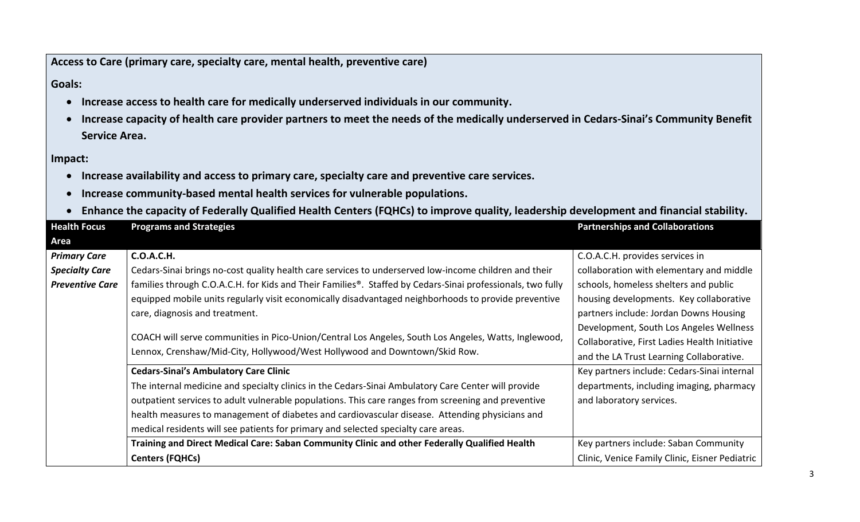**Access to Care (primary care, specialty care, mental health, preventive care)**

## **Goals:**

- **Increase access to health care for medically underserved individuals in our community.**
- **Increase capacity of health care provider partners to meet the needs of the medically underserved in Cedars-Sinai's Community Benefit Service Area.**

### **Impact:**

- **Increase availability and access to primary care, specialty care and preventive care services.**
- **Increase community-based mental health services for vulnerable populations.**
- **Enhance the capacity of Federally Qualified Health Centers (FQHCs) to improve quality, leadership development and financial stability.**

| <b>Health Focus</b>    | <b>Programs and Strategies</b>                                                                             | <b>Partnerships and Collaborations</b>         |
|------------------------|------------------------------------------------------------------------------------------------------------|------------------------------------------------|
| Area                   |                                                                                                            |                                                |
| <b>Primary Care</b>    | <b>C.O.A.C.H.</b>                                                                                          | C.O.A.C.H. provides services in                |
| <b>Specialty Care</b>  | Cedars-Sinai brings no-cost quality health care services to underserved low-income children and their      | collaboration with elementary and middle       |
| <b>Preventive Care</b> | families through C.O.A.C.H. for Kids and Their Families®. Staffed by Cedars-Sinai professionals, two fully | schools, homeless shelters and public          |
|                        | equipped mobile units regularly visit economically disadvantaged neighborhoods to provide preventive       | housing developments. Key collaborative        |
|                        | care, diagnosis and treatment.                                                                             | partners include: Jordan Downs Housing         |
|                        | COACH will serve communities in Pico-Union/Central Los Angeles, South Los Angeles, Watts, Inglewood,       | Development, South Los Angeles Wellness        |
|                        |                                                                                                            | Collaborative, First Ladies Health Initiative  |
|                        | Lennox, Crenshaw/Mid-City, Hollywood/West Hollywood and Downtown/Skid Row.                                 | and the LA Trust Learning Collaborative.       |
|                        | <b>Cedars-Sinai's Ambulatory Care Clinic</b>                                                               | Key partners include: Cedars-Sinai internal    |
|                        | The internal medicine and specialty clinics in the Cedars-Sinai Ambulatory Care Center will provide        | departments, including imaging, pharmacy       |
|                        | outpatient services to adult vulnerable populations. This care ranges from screening and preventive        | and laboratory services.                       |
|                        | health measures to management of diabetes and cardiovascular disease. Attending physicians and             |                                                |
|                        | medical residents will see patients for primary and selected specialty care areas.                         |                                                |
|                        | Training and Direct Medical Care: Saban Community Clinic and other Federally Qualified Health              | Key partners include: Saban Community          |
|                        | <b>Centers (FQHCs)</b>                                                                                     | Clinic, Venice Family Clinic, Eisner Pediatric |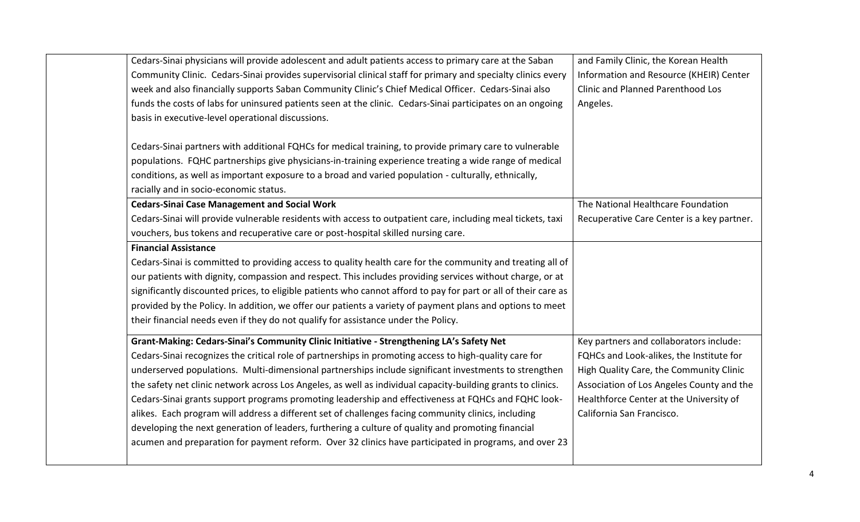| Cedars-Sinai physicians will provide adolescent and adult patients access to primary care at the Saban          | and Family Clinic, the Korean Health       |
|-----------------------------------------------------------------------------------------------------------------|--------------------------------------------|
| Community Clinic. Cedars-Sinai provides supervisorial clinical staff for primary and specialty clinics every    | Information and Resource (KHEIR) Center    |
| week and also financially supports Saban Community Clinic's Chief Medical Officer. Cedars-Sinai also            | <b>Clinic and Planned Parenthood Los</b>   |
| funds the costs of labs for uninsured patients seen at the clinic. Cedars-Sinai participates on an ongoing      | Angeles.                                   |
| basis in executive-level operational discussions.                                                               |                                            |
| Cedars-Sinai partners with additional FQHCs for medical training, to provide primary care to vulnerable         |                                            |
| populations. FQHC partnerships give physicians-in-training experience treating a wide range of medical          |                                            |
| conditions, as well as important exposure to a broad and varied population - culturally, ethnically,            |                                            |
| racially and in socio-economic status.                                                                          |                                            |
| <b>Cedars-Sinai Case Management and Social Work</b>                                                             | The National Healthcare Foundation         |
| Cedars-Sinai will provide vulnerable residents with access to outpatient care, including meal tickets, taxi     | Recuperative Care Center is a key partner. |
| vouchers, bus tokens and recuperative care or post-hospital skilled nursing care.                               |                                            |
| <b>Financial Assistance</b>                                                                                     |                                            |
| Cedars-Sinai is committed to providing access to quality health care for the community and treating all of      |                                            |
| our patients with dignity, compassion and respect. This includes providing services without charge, or at       |                                            |
| significantly discounted prices, to eligible patients who cannot afford to pay for part or all of their care as |                                            |
| provided by the Policy. In addition, we offer our patients a variety of payment plans and options to meet       |                                            |
| their financial needs even if they do not qualify for assistance under the Policy.                              |                                            |
| Grant-Making: Cedars-Sinai's Community Clinic Initiative - Strengthening LA's Safety Net                        | Key partners and collaborators include:    |
| Cedars-Sinai recognizes the critical role of partnerships in promoting access to high-quality care for          | FQHCs and Look-alikes, the Institute for   |
| underserved populations. Multi-dimensional partnerships include significant investments to strengthen           | High Quality Care, the Community Clinic    |
| the safety net clinic network across Los Angeles, as well as individual capacity-building grants to clinics.    | Association of Los Angeles County and the  |
| Cedars-Sinai grants support programs promoting leadership and effectiveness at FQHCs and FQHC look-             | Healthforce Center at the University of    |
| alikes. Each program will address a different set of challenges facing community clinics, including             | California San Francisco.                  |
| developing the next generation of leaders, furthering a culture of quality and promoting financial              |                                            |
| acumen and preparation for payment reform. Over 32 clinics have participated in programs, and over 23           |                                            |
|                                                                                                                 |                                            |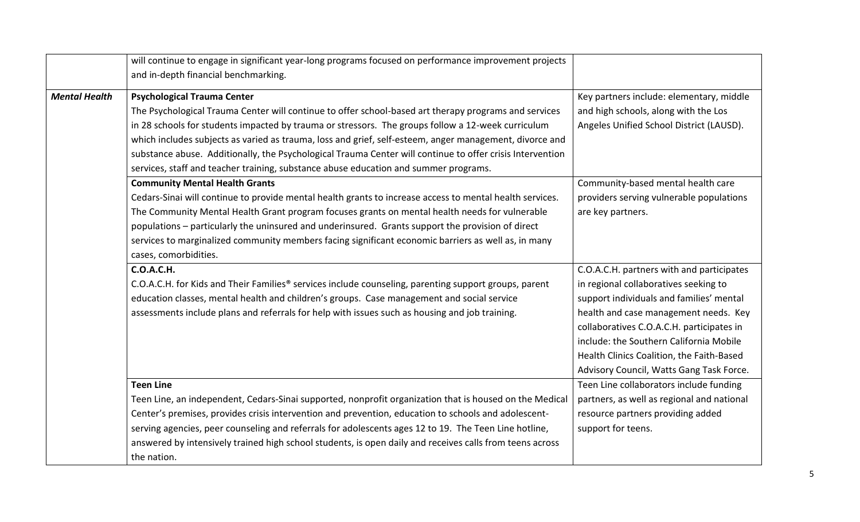|                      | will continue to engage in significant year-long programs focused on performance improvement projects<br>and in-depth financial benchmarking.                                                                                                                                                                                                                                                                                                                                                                                                                     |                                                                                                                                                                                                                                                                                                                                                          |
|----------------------|-------------------------------------------------------------------------------------------------------------------------------------------------------------------------------------------------------------------------------------------------------------------------------------------------------------------------------------------------------------------------------------------------------------------------------------------------------------------------------------------------------------------------------------------------------------------|----------------------------------------------------------------------------------------------------------------------------------------------------------------------------------------------------------------------------------------------------------------------------------------------------------------------------------------------------------|
| <b>Mental Health</b> | <b>Psychological Trauma Center</b><br>The Psychological Trauma Center will continue to offer school-based art therapy programs and services<br>in 28 schools for students impacted by trauma or stressors. The groups follow a 12-week curriculum<br>which includes subjects as varied as trauma, loss and grief, self-esteem, anger management, divorce and<br>substance abuse. Additionally, the Psychological Trauma Center will continue to offer crisis Intervention<br>services, staff and teacher training, substance abuse education and summer programs. | Key partners include: elementary, middle<br>and high schools, along with the Los<br>Angeles Unified School District (LAUSD).                                                                                                                                                                                                                             |
|                      | <b>Community Mental Health Grants</b><br>Cedars-Sinai will continue to provide mental health grants to increase access to mental health services.<br>The Community Mental Health Grant program focuses grants on mental health needs for vulnerable<br>populations - particularly the uninsured and underinsured. Grants support the provision of direct<br>services to marginalized community members facing significant economic barriers as well as, in many<br>cases, comorbidities.                                                                          | Community-based mental health care<br>providers serving vulnerable populations<br>are key partners.                                                                                                                                                                                                                                                      |
|                      | <b>C.O.A.C.H.</b><br>C.O.A.C.H. for Kids and Their Families® services include counseling, parenting support groups, parent<br>education classes, mental health and children's groups. Case management and social service<br>assessments include plans and referrals for help with issues such as housing and job training.                                                                                                                                                                                                                                        | C.O.A.C.H. partners with and participates<br>in regional collaboratives seeking to<br>support individuals and families' mental<br>health and case management needs. Key<br>collaboratives C.O.A.C.H. participates in<br>include: the Southern California Mobile<br>Health Clinics Coalition, the Faith-Based<br>Advisory Council, Watts Gang Task Force. |
|                      | <b>Teen Line</b><br>Teen Line, an independent, Cedars-Sinai supported, nonprofit organization that is housed on the Medical<br>Center's premises, provides crisis intervention and prevention, education to schools and adolescent-<br>serving agencies, peer counseling and referrals for adolescents ages 12 to 19. The Teen Line hotline,<br>answered by intensively trained high school students, is open daily and receives calls from teens across<br>the nation.                                                                                           | Teen Line collaborators include funding<br>partners, as well as regional and national<br>resource partners providing added<br>support for teens.                                                                                                                                                                                                         |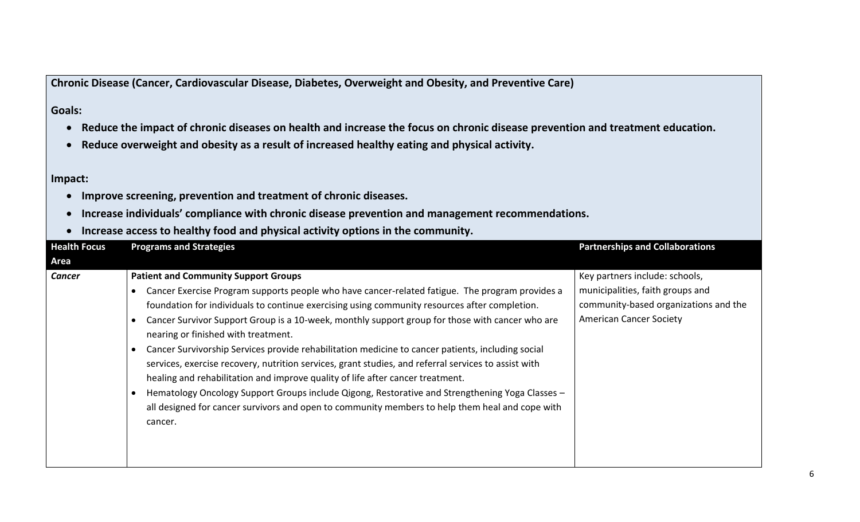**Chronic Disease (Cancer, Cardiovascular Disease, Diabetes, Overweight and Obesity, and Preventive Care)**

## **Goals:**

- **Reduce the impact of chronic diseases on health and increase the focus on chronic disease prevention and treatment education.**
- **Reduce overweight and obesity as a result of increased healthy eating and physical activity.**

### **Impact:**

- **Improve screening, prevention and treatment of chronic diseases.**
- **Increase individuals' compliance with chronic disease prevention and management recommendations.**
- **Increase access to healthy food and physical activity options in the community.**

| <b>Health Focus</b> | <b>Programs and Strategies</b>                                                                                                                                                                                                                                                                                                                                                                                                                                                                                                                                                                                                                                                                                                                                                                                                                                                                                                                                | <b>Partnerships and Collaborations</b>                                                                                                        |
|---------------------|---------------------------------------------------------------------------------------------------------------------------------------------------------------------------------------------------------------------------------------------------------------------------------------------------------------------------------------------------------------------------------------------------------------------------------------------------------------------------------------------------------------------------------------------------------------------------------------------------------------------------------------------------------------------------------------------------------------------------------------------------------------------------------------------------------------------------------------------------------------------------------------------------------------------------------------------------------------|-----------------------------------------------------------------------------------------------------------------------------------------------|
| Area                |                                                                                                                                                                                                                                                                                                                                                                                                                                                                                                                                                                                                                                                                                                                                                                                                                                                                                                                                                               |                                                                                                                                               |
| <b>Cancer</b>       | <b>Patient and Community Support Groups</b><br>Cancer Exercise Program supports people who have cancer-related fatigue. The program provides a<br>$\bullet$<br>foundation for individuals to continue exercising using community resources after completion.<br>Cancer Survivor Support Group is a 10-week, monthly support group for those with cancer who are<br>$\bullet$<br>nearing or finished with treatment.<br>Cancer Survivorship Services provide rehabilitation medicine to cancer patients, including social<br>$\bullet$<br>services, exercise recovery, nutrition services, grant studies, and referral services to assist with<br>healing and rehabilitation and improve quality of life after cancer treatment.<br>Hematology Oncology Support Groups include Qigong, Restorative and Strengthening Yoga Classes -<br>$\bullet$<br>all designed for cancer survivors and open to community members to help them heal and cope with<br>cancer. | Key partners include: schools,<br>municipalities, faith groups and<br>community-based organizations and the<br><b>American Cancer Society</b> |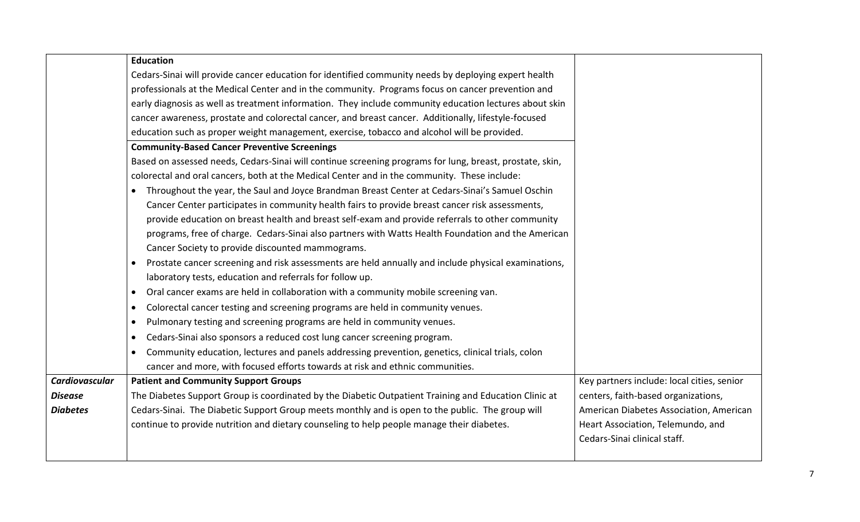|                 | <b>Education</b>                                                                                         |                                            |
|-----------------|----------------------------------------------------------------------------------------------------------|--------------------------------------------|
|                 | Cedars-Sinai will provide cancer education for identified community needs by deploying expert health     |                                            |
|                 | professionals at the Medical Center and in the community. Programs focus on cancer prevention and        |                                            |
|                 | early diagnosis as well as treatment information. They include community education lectures about skin   |                                            |
|                 | cancer awareness, prostate and colorectal cancer, and breast cancer. Additionally, lifestyle-focused     |                                            |
|                 | education such as proper weight management, exercise, tobacco and alcohol will be provided.              |                                            |
|                 | <b>Community-Based Cancer Preventive Screenings</b>                                                      |                                            |
|                 | Based on assessed needs, Cedars-Sinai will continue screening programs for lung, breast, prostate, skin, |                                            |
|                 | colorectal and oral cancers, both at the Medical Center and in the community. These include:             |                                            |
|                 | Throughout the year, the Saul and Joyce Brandman Breast Center at Cedars-Sinai's Samuel Oschin           |                                            |
|                 | Cancer Center participates in community health fairs to provide breast cancer risk assessments,          |                                            |
|                 | provide education on breast health and breast self-exam and provide referrals to other community         |                                            |
|                 | programs, free of charge. Cedars-Sinai also partners with Watts Health Foundation and the American       |                                            |
|                 | Cancer Society to provide discounted mammograms.                                                         |                                            |
|                 | Prostate cancer screening and risk assessments are held annually and include physical examinations,      |                                            |
|                 | laboratory tests, education and referrals for follow up.                                                 |                                            |
|                 | Oral cancer exams are held in collaboration with a community mobile screening van.<br>$\bullet$          |                                            |
|                 | Colorectal cancer testing and screening programs are held in community venues.<br>$\bullet$              |                                            |
|                 | Pulmonary testing and screening programs are held in community venues.<br>$\bullet$                      |                                            |
|                 | Cedars-Sinai also sponsors a reduced cost lung cancer screening program.<br>$\bullet$                    |                                            |
|                 | Community education, lectures and panels addressing prevention, genetics, clinical trials, colon         |                                            |
|                 | cancer and more, with focused efforts towards at risk and ethnic communities.                            |                                            |
| Cardiovascular  | <b>Patient and Community Support Groups</b>                                                              | Key partners include: local cities, senior |
| <b>Disease</b>  | The Diabetes Support Group is coordinated by the Diabetic Outpatient Training and Education Clinic at    | centers, faith-based organizations,        |
| <b>Diabetes</b> | Cedars-Sinai. The Diabetic Support Group meets monthly and is open to the public. The group will         | American Diabetes Association, American    |
|                 | continue to provide nutrition and dietary counseling to help people manage their diabetes.               | Heart Association, Telemundo, and          |
|                 |                                                                                                          | Cedars-Sinai clinical staff.               |
|                 |                                                                                                          |                                            |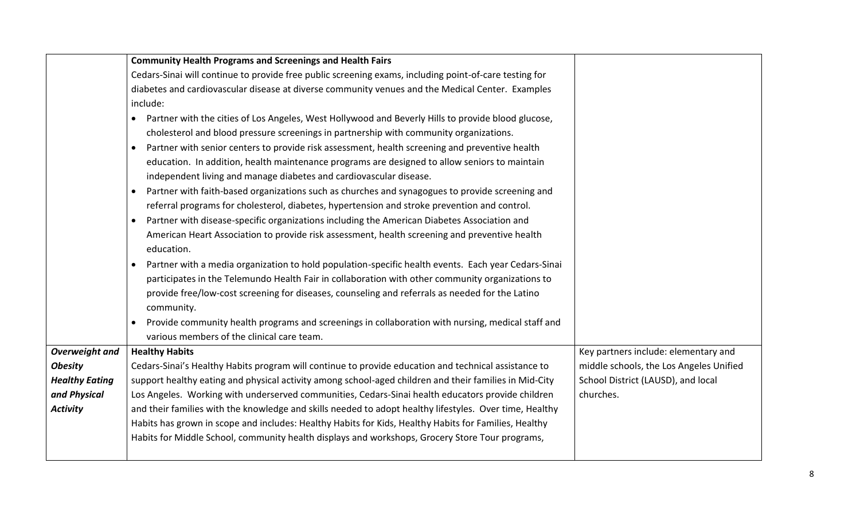|                       | <b>Community Health Programs and Screenings and Health Fairs</b>                                               |                                         |
|-----------------------|----------------------------------------------------------------------------------------------------------------|-----------------------------------------|
|                       | Cedars-Sinai will continue to provide free public screening exams, including point-of-care testing for         |                                         |
|                       | diabetes and cardiovascular disease at diverse community venues and the Medical Center. Examples               |                                         |
|                       | include:                                                                                                       |                                         |
|                       | Partner with the cities of Los Angeles, West Hollywood and Beverly Hills to provide blood glucose,             |                                         |
|                       | cholesterol and blood pressure screenings in partnership with community organizations.                         |                                         |
|                       | Partner with senior centers to provide risk assessment, health screening and preventive health                 |                                         |
|                       | education. In addition, health maintenance programs are designed to allow seniors to maintain                  |                                         |
|                       | independent living and manage diabetes and cardiovascular disease.                                             |                                         |
|                       | Partner with faith-based organizations such as churches and synagogues to provide screening and                |                                         |
|                       | referral programs for cholesterol, diabetes, hypertension and stroke prevention and control.                   |                                         |
|                       | Partner with disease-specific organizations including the American Diabetes Association and                    |                                         |
|                       | American Heart Association to provide risk assessment, health screening and preventive health                  |                                         |
|                       | education.                                                                                                     |                                         |
|                       | Partner with a media organization to hold population-specific health events. Each year Cedars-Sinai            |                                         |
|                       | participates in the Telemundo Health Fair in collaboration with other community organizations to               |                                         |
|                       | provide free/low-cost screening for diseases, counseling and referrals as needed for the Latino                |                                         |
|                       | community.                                                                                                     |                                         |
|                       | Provide community health programs and screenings in collaboration with nursing, medical staff and<br>$\bullet$ |                                         |
|                       | various members of the clinical care team.                                                                     |                                         |
| Overweight and        | <b>Healthy Habits</b>                                                                                          | Key partners include: elementary and    |
| <b>Obesity</b>        | Cedars-Sinai's Healthy Habits program will continue to provide education and technical assistance to           | middle schools, the Los Angeles Unified |
| <b>Healthy Eating</b> | support healthy eating and physical activity among school-aged children and their families in Mid-City         | School District (LAUSD), and local      |
| and Physical          | Los Angeles. Working with underserved communities, Cedars-Sinai health educators provide children              | churches.                               |
| <b>Activity</b>       | and their families with the knowledge and skills needed to adopt healthy lifestyles. Over time, Healthy        |                                         |
|                       | Habits has grown in scope and includes: Healthy Habits for Kids, Healthy Habits for Families, Healthy          |                                         |
|                       | Habits for Middle School, community health displays and workshops, Grocery Store Tour programs,                |                                         |
|                       |                                                                                                                |                                         |
|                       |                                                                                                                |                                         |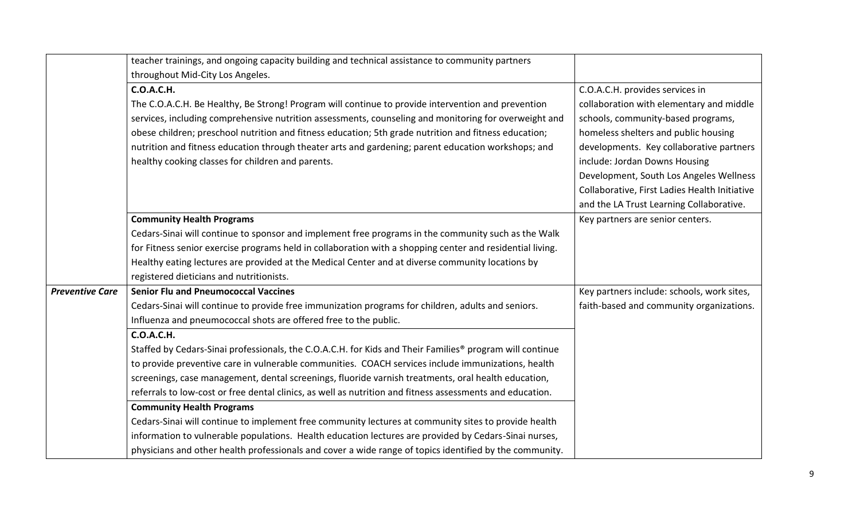|                        | teacher trainings, and ongoing capacity building and technical assistance to community partners<br>throughout Mid-City Los Angeles. |                                               |
|------------------------|-------------------------------------------------------------------------------------------------------------------------------------|-----------------------------------------------|
|                        | <b>C.O.A.C.H.</b>                                                                                                                   | C.O.A.C.H. provides services in               |
|                        | The C.O.A.C.H. Be Healthy, Be Strong! Program will continue to provide intervention and prevention                                  | collaboration with elementary and middle      |
|                        | services, including comprehensive nutrition assessments, counseling and monitoring for overweight and                               | schools, community-based programs,            |
|                        | obese children; preschool nutrition and fitness education; 5th grade nutrition and fitness education;                               | homeless shelters and public housing          |
|                        | nutrition and fitness education through theater arts and gardening; parent education workshops; and                                 | developments. Key collaborative partners      |
|                        | healthy cooking classes for children and parents.                                                                                   | include: Jordan Downs Housing                 |
|                        |                                                                                                                                     | Development, South Los Angeles Wellness       |
|                        |                                                                                                                                     | Collaborative, First Ladies Health Initiative |
|                        |                                                                                                                                     | and the LA Trust Learning Collaborative.      |
|                        | <b>Community Health Programs</b>                                                                                                    | Key partners are senior centers.              |
|                        | Cedars-Sinai will continue to sponsor and implement free programs in the community such as the Walk                                 |                                               |
|                        | for Fitness senior exercise programs held in collaboration with a shopping center and residential living.                           |                                               |
|                        | Healthy eating lectures are provided at the Medical Center and at diverse community locations by                                    |                                               |
|                        | registered dieticians and nutritionists.                                                                                            |                                               |
| <b>Preventive Care</b> | <b>Senior Flu and Pneumococcal Vaccines</b>                                                                                         | Key partners include: schools, work sites,    |
|                        | Cedars-Sinai will continue to provide free immunization programs for children, adults and seniors.                                  | faith-based and community organizations.      |
|                        | Influenza and pneumococcal shots are offered free to the public.                                                                    |                                               |
|                        | <b>C.O.A.C.H.</b>                                                                                                                   |                                               |
|                        | Staffed by Cedars-Sinai professionals, the C.O.A.C.H. for Kids and Their Families <sup>®</sup> program will continue                |                                               |
|                        | to provide preventive care in vulnerable communities. COACH services include immunizations, health                                  |                                               |
|                        | screenings, case management, dental screenings, fluoride varnish treatments, oral health education,                                 |                                               |
|                        | referrals to low-cost or free dental clinics, as well as nutrition and fitness assessments and education.                           |                                               |
|                        | <b>Community Health Programs</b>                                                                                                    |                                               |
|                        | Cedars-Sinai will continue to implement free community lectures at community sites to provide health                                |                                               |
|                        | information to vulnerable populations. Health education lectures are provided by Cedars-Sinai nurses,                               |                                               |
|                        | physicians and other health professionals and cover a wide range of topics identified by the community.                             |                                               |